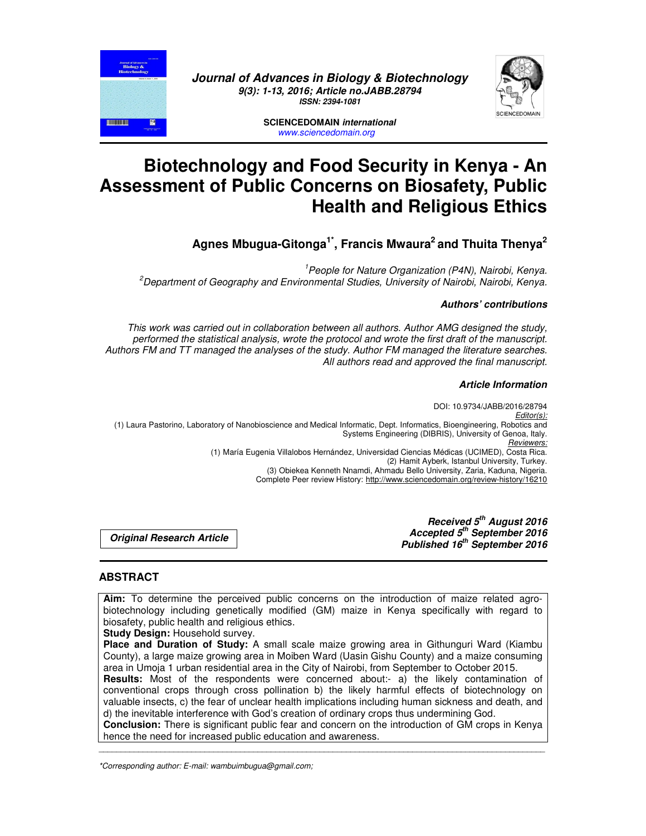



**SCIENCEDOMAIN** *international www.sciencedomain.org*

# **Biotechnology and Food Security in Kenya - An Assessment of Public Concerns on Biosafety, Public Health and Religious Ethics**

**Agnes Mbugua-Gitonga1\*, Francis Mwaura<sup>2</sup>and Thuita Thenya<sup>2</sup>**

*1 People for Nature Organization (P4N), Nairobi, Kenya. <sup>2</sup>Department of Geography and Environmental Studies, University of Nairobi, Nairobi, Kenya.* 

# *Authors' contributions*

*This work was carried out in collaboration between all authors. Author AMG designed the study, performed the statistical analysis, wrote the protocol and wrote the first draft of the manuscript. Authors FM and TT managed the analyses of the study. Author FM managed the literature searches. All authors read and approved the final manuscript.* 

### *Article Information*

DOI: 10.9734/JABB/2016/28794 *Editor(s):* (1) Laura Pastorino, Laboratory of Nanobioscience and Medical Informatic, Dept. Informatics, Bioengineering, Robotics and Systems Engineering (DIBRIS), University of Genoa, Italy. *Reviewers:* (1) María Eugenia Villalobos Hernández, Universidad Ciencias Médicas (UCIMED), Costa Rica. (2) Hamit Ayberk, Istanbul University, Turkey. (3) Obiekea Kenneth Nnamdi, Ahmadu Bello University, Zaria, Kaduna, Nigeria. Complete Peer review History: http://www.sciencedomain.org/review-history/16210

> *Received 5th August 2016 Accepted 5th September 2016 Published 16th September 2016*

*Original Research Article* 

# **ABSTRACT**

**THE LITTLE** 

**Aim:** To determine the perceived public concerns on the introduction of maize related agrobiotechnology including genetically modified (GM) maize in Kenya specifically with regard to biosafety, public health and religious ethics.

**Study Design:** Household survey.

**Place and Duration of Study:** A small scale maize growing area in Githunguri Ward (Kiambu County), a large maize growing area in Moiben Ward (Uasin Gishu County) and a maize consuming area in Umoja 1 urban residential area in the City of Nairobi, from September to October 2015. Results: Most of the respondents were concerned about:- a) the likely contamination of conventional crops through cross pollination b) the likely harmful effects of biotechnology on valuable insects, c) the fear of unclear health implications including human sickness and death, and d) the inevitable interference with God's creation of ordinary crops thus undermining God. **Conclusion:** There is significant public fear and concern on the introduction of GM crops in Kenya hence the need for increased public education and awareness.

\_\_\_\_\_\_\_\_\_\_\_\_\_\_\_\_\_\_\_\_\_\_\_\_\_\_\_\_\_\_\_\_\_\_\_\_\_\_\_\_\_\_\_\_\_\_\_\_\_\_\_\_\_\_\_\_\_\_\_\_\_\_\_\_\_\_\_\_\_\_\_\_\_\_\_\_\_\_\_\_\_\_\_\_\_\_\_\_\_\_\_\_\_\_\_\_\_\_\_\_\_

*\*Corresponding author: E-mail: wambuimbugua@gmail.com;*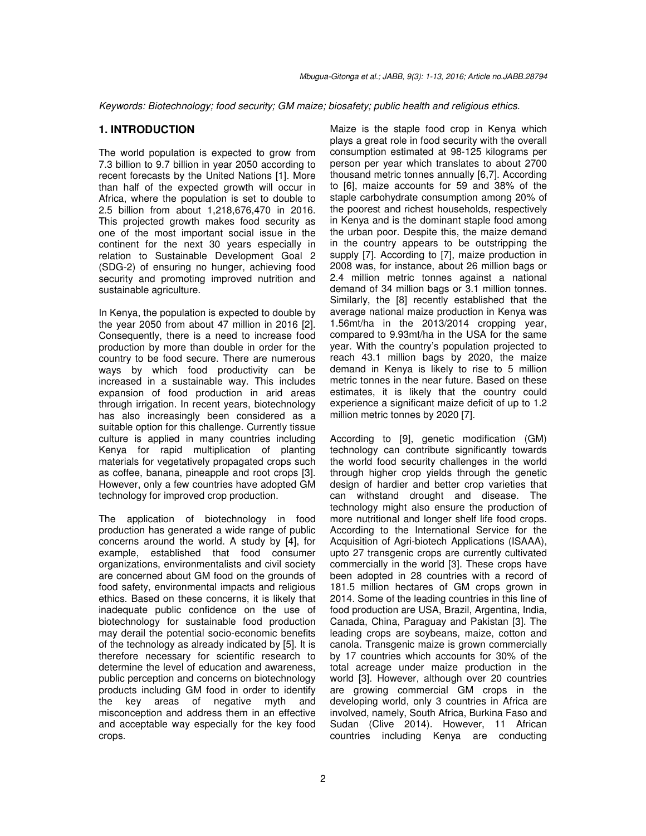*Keywords: Biotechnology; food security; GM maize; biosafety; public health and religious ethics.* 

#### **1. INTRODUCTION**

The world population is expected to grow from 7.3 billion to 9.7 billion in year 2050 according to recent forecasts by the United Nations [1]. More than half of the expected growth will occur in Africa, where the population is set to double to 2.5 billion from about 1,218,676,470 in 2016. This projected growth makes food security as one of the most important social issue in the continent for the next 30 years especially in relation to Sustainable Development Goal 2 (SDG-2) of ensuring no hunger, achieving food security and promoting improved nutrition and sustainable agriculture.

In Kenya, the population is expected to double by the year 2050 from about 47 million in 2016 [2]. Consequently, there is a need to increase food production by more than double in order for the country to be food secure. There are numerous ways by which food productivity can be increased in a sustainable way. This includes expansion of food production in arid areas through irrigation. In recent years, biotechnology has also increasingly been considered as a suitable option for this challenge. Currently tissue culture is applied in many countries including Kenya for rapid multiplication of planting materials for vegetatively propagated crops such as coffee, banana, pineapple and root crops [3]. However, only a few countries have adopted GM technology for improved crop production.

The application of biotechnology in food production has generated a wide range of public concerns around the world. A study by [4], for example, established that food consumer organizations, environmentalists and civil society are concerned about GM food on the grounds of food safety, environmental impacts and religious ethics. Based on these concerns, it is likely that inadequate public confidence on the use of biotechnology for sustainable food production may derail the potential socio-economic benefits of the technology as already indicated by [5]. It is therefore necessary for scientific research to determine the level of education and awareness, public perception and concerns on biotechnology products including GM food in order to identify the key areas of negative myth and misconception and address them in an effective and acceptable way especially for the key food crops.

Maize is the staple food crop in Kenya which plays a great role in food security with the overall consumption estimated at 98-125 kilograms per person per year which translates to about 2700 thousand metric tonnes annually [6,7]. According to [6], maize accounts for 59 and 38% of the staple carbohydrate consumption among 20% of the poorest and richest households, respectively in Kenya and is the dominant staple food among the urban poor. Despite this, the maize demand in the country appears to be outstripping the supply [7]. According to [7], maize production in 2008 was, for instance, about 26 million bags or 2.4 million metric tonnes against a national demand of 34 million bags or 3.1 million tonnes. Similarly, the [8] recently established that the average national maize production in Kenya was 1.56mt/ha in the 2013/2014 cropping year, compared to 9.93mt/ha in the USA for the same year. With the country's population projected to reach 43.1 million bags by 2020, the maize demand in Kenya is likely to rise to 5 million metric tonnes in the near future. Based on these estimates, it is likely that the country could experience a significant maize deficit of up to 1.2 million metric tonnes by 2020 [7].

According to [9], genetic modification (GM) technology can contribute significantly towards the world food security challenges in the world through higher crop yields through the genetic design of hardier and better crop varieties that can withstand drought and disease. The technology might also ensure the production of more nutritional and longer shelf life food crops. According to the International Service for the Acquisition of Agri-biotech Applications (ISAAA), upto 27 transgenic crops are currently cultivated commercially in the world [3]. These crops have been adopted in 28 countries with a record of 181.5 million hectares of GM crops grown in 2014. Some of the leading countries in this line of food production are USA, Brazil, Argentina, India, Canada, China, Paraguay and Pakistan [3]. The leading crops are soybeans, maize, cotton and canola. Transgenic maize is grown commercially by 17 countries which accounts for 30% of the total acreage under maize production in the world [3]. However, although over 20 countries are growing commercial GM crops in the developing world, only 3 countries in Africa are involved, namely, South Africa, Burkina Faso and Sudan (Clive 2014). However, 11 African countries including Kenya are conducting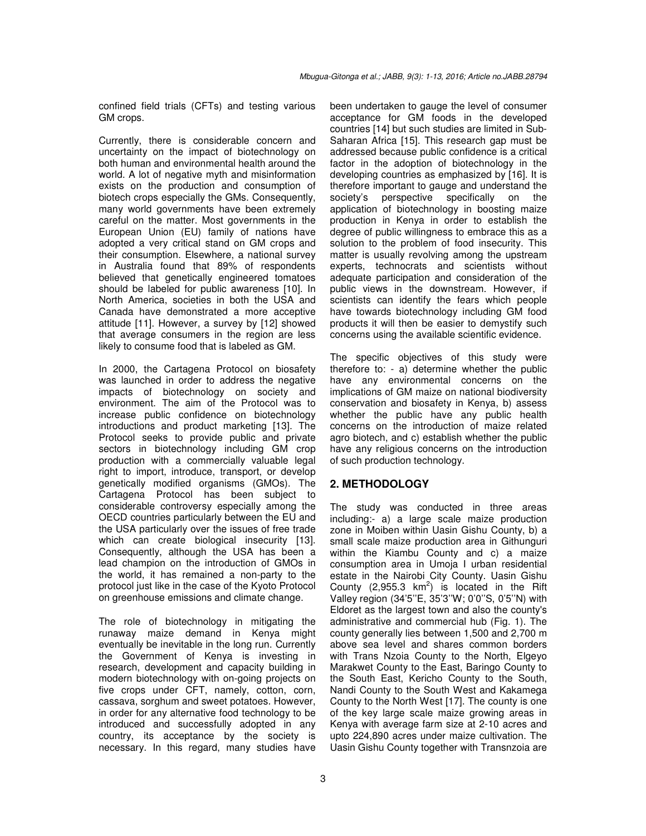confined field trials (CFTs) and testing various GM crops.

Currently, there is considerable concern and uncertainty on the impact of biotechnology on both human and environmental health around the world. A lot of negative myth and misinformation exists on the production and consumption of biotech crops especially the GMs. Consequently, many world governments have been extremely careful on the matter. Most governments in the European Union (EU) family of nations have adopted a very critical stand on GM crops and their consumption. Elsewhere, a national survey in Australia found that 89% of respondents believed that genetically engineered tomatoes should be labeled for public awareness [10]. In North America, societies in both the USA and Canada have demonstrated a more acceptive attitude [11]. However, a survey by [12] showed that average consumers in the region are less likely to consume food that is labeled as GM.

In 2000, the Cartagena Protocol on biosafety was launched in order to address the negative impacts of biotechnology on society and environment. The aim of the Protocol was to increase public confidence on biotechnology introductions and product marketing [13]. The Protocol seeks to provide public and private sectors in biotechnology including GM crop production with a commercially valuable legal right to import, introduce, transport, or develop genetically modified organisms (GMOs). The Cartagena Protocol has been subject to considerable controversy especially among the OECD countries particularly between the EU and the USA particularly over the issues of free trade which can create biological insecurity [13]. Consequently, although the USA has been a lead champion on the introduction of GMOs in the world, it has remained a non-party to the protocol just like in the case of the Kyoto Protocol on greenhouse emissions and climate change.

The role of biotechnology in mitigating the runaway maize demand in Kenya might eventually be inevitable in the long run. Currently the Government of Kenya is investing in research, development and capacity building in modern biotechnology with on-going projects on five crops under CFT, namely, cotton, corn, cassava, sorghum and sweet potatoes. However, in order for any alternative food technology to be introduced and successfully adopted in any country, its acceptance by the society is necessary. In this regard, many studies have

been undertaken to gauge the level of consumer acceptance for GM foods in the developed countries [14] but such studies are limited in Sub-Saharan Africa [15]. This research gap must be addressed because public confidence is a critical factor in the adoption of biotechnology in the developing countries as emphasized by [16]. It is therefore important to gauge and understand the society's perspective specifically on the application of biotechnology in boosting maize production in Kenya in order to establish the degree of public willingness to embrace this as a solution to the problem of food insecurity. This matter is usually revolving among the upstream experts, technocrats and scientists without adequate participation and consideration of the public views in the downstream. However, if scientists can identify the fears which people have towards biotechnology including GM food products it will then be easier to demystify such concerns using the available scientific evidence.

The specific objectives of this study were therefore to: - a) determine whether the public have any environmental concerns on the implications of GM maize on national biodiversity conservation and biosafety in Kenya, b) assess whether the public have any public health concerns on the introduction of maize related agro biotech, and c) establish whether the public have any religious concerns on the introduction of such production technology.

## **2. METHODOLOGY**

The study was conducted in three areas including:- a) a large scale maize production zone in Moiben within Uasin Gishu County, b) a small scale maize production area in Githunguri within the Kiambu County and c) a maize consumption area in Umoja I urban residential estate in the Nairobi City County. Uasin Gishu County (2,955.3  $km^2$ ) is located in the Rift Valley region (34'5''E, 35'3''W; 0'0''S, 0'5''N) with Eldoret as the largest town and also the county's administrative and commercial hub (Fig. 1). The county generally lies between 1,500 and 2,700 m above sea level and shares common borders with Trans Nzoia County to the North, Elgeyo Marakwet County to the East, Baringo County to the South East, Kericho County to the South, Nandi County to the South West and Kakamega County to the North West [17]. The county is one of the key large scale maize growing areas in Kenya with average farm size at 2-10 acres and upto 224,890 acres under maize cultivation. The Uasin Gishu County together with Transnzoia are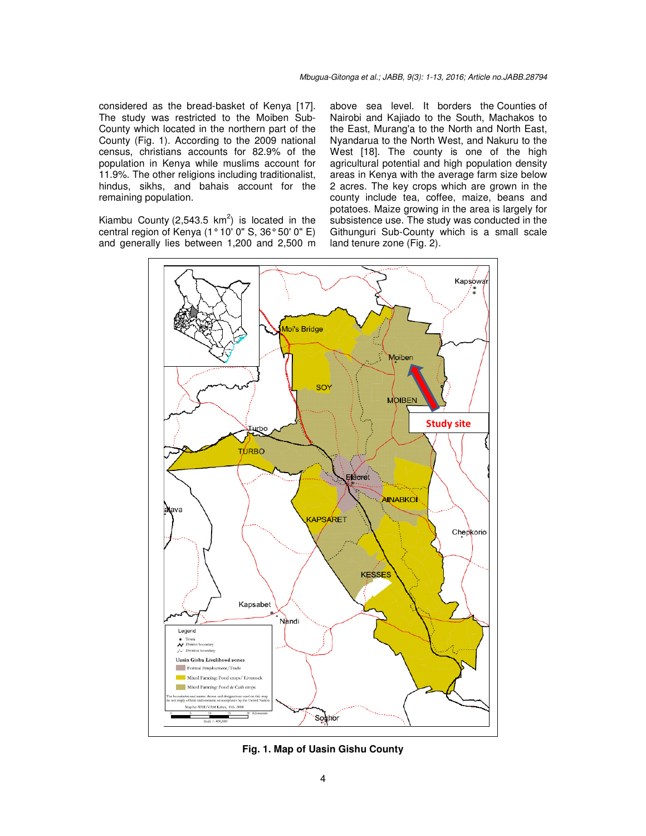considered as the bread-basket of Kenya [17]. The study was restricted to the Moiben Sub-County which located in the northern part of the County (Fig. 1). According to the 2009 national census, christians accounts for 82.9% of the population in Kenya while muslims account for 11.9%. The other religions including traditionalist, hindus, sikhs, and bahais account for the remaining population.

Kiambu County (2,543.5  $km^2$ ) is located in the central region of Kenya (1° 10' 0" S, 36° 50' 0" E) and generally lies between 1,200 and 2,500 m

above sea level. It borders the Counties of Nairobi and Kajiado to the South, Machakos to the East, Murang'a to the North and North East, Nyandarua to the North West, and Nakuru to the West [18]. The county is one of the high agricultural potential and high population density areas in Kenya with the average farm size below 2 acres. The key crops which are grown in the county include tea, coffee, maize, beans and potatoes. Maize growing in the area is largely for subsistence use. The study was conducted in the Githunguri Sub-County which is a small scale land tenure zone (Fig. 2).



**Fig. 1. Map of Uasin Gishu County**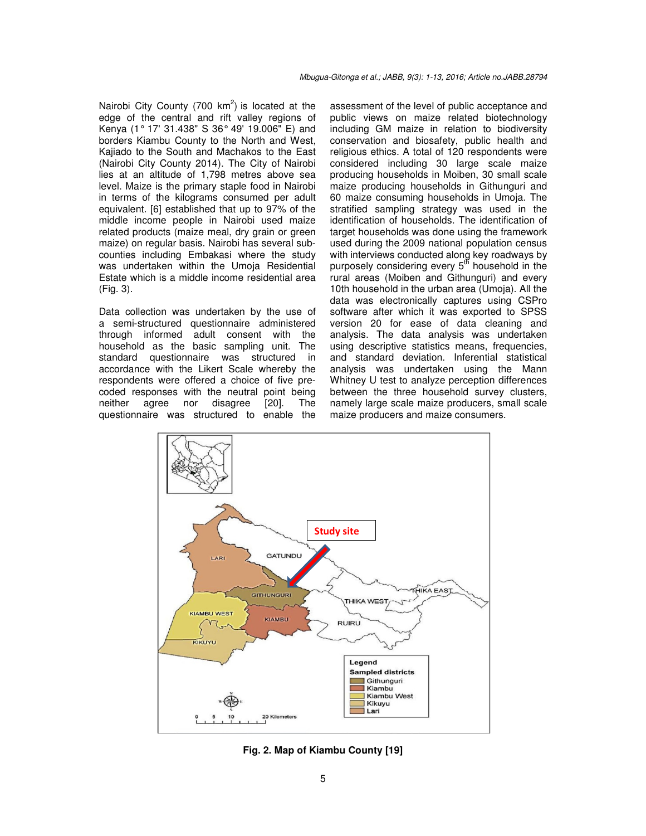Nairobi City County (700  $km^2$ ) is located at the edge of the central and rift valley regions of Kenya (1° 17' 31.438" S 36° 49' 19.006" E) and borders Kiambu County to the North and West, Kajiado to the South and Machakos to the East (Nairobi City County 2014). The City of Nairobi lies at an altitude of 1,798 metres above sea level. Maize is the primary staple food in Nairobi in terms of the kilograms consumed per adult equivalent. [6] established that up to 97% of the middle income people in Nairobi used maize related products (maize meal, dry grain or green maize) on regular basis. Nairobi has several subcounties including Embakasi where the study was undertaken within the Umoja Residential Estate which is a middle income residential area (Fig. 3).

Data collection was undertaken by the use of a semi-structured questionnaire administered through informed adult consent with the household as the basic sampling unit. The standard questionnaire was structured in accordance with the Likert Scale whereby the respondents were offered a choice of five precoded responses with the neutral point being neither agree nor disagree [20]. The questionnaire was structured to enable the assessment of the level of public acceptance and public views on maize related biotechnology including GM maize in relation to biodiversity conservation and biosafety, public health and religious ethics. A total of 120 respondents were considered including 30 large scale maize producing households in Moiben, 30 small scale maize producing households in Githunguri and 60 maize consuming households in Umoja. The stratified sampling strategy was used in the identification of households. The identification of target households was done using the framework used during the 2009 national population census with interviews conducted along key roadways by purposely considering every  $5<sup>th</sup>$  household in the rural areas (Moiben and Githunguri) and every 10th household in the urban area (Umoja). All the data was electronically captures using CSPro software after which it was exported to SPSS version 20 for ease of data cleaning and analysis. The data analysis was undertaken using descriptive statistics means, frequencies, and standard deviation. Inferential statistical analysis was undertaken using the Mann Whitney U test to analyze perception differences between the three household survey clusters, namely large scale maize producers, small scale maize producers and maize consumers.



**Fig. 2. Map of Kiambu County [19]**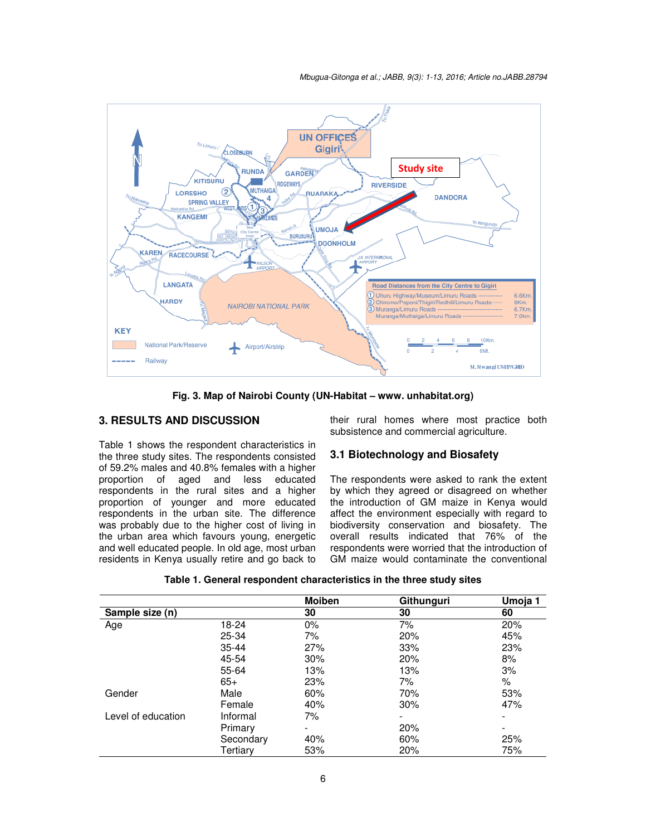*Mbugua-Gitonga et al.; JABB, 9(3): 1-13, 2016; Article no.JABB no.JABB.28794* 



**Fig. 3. Map of Nairobi County County (UN-Habitat – www. unhabitat.org)** 

# **3. RESULTS AND DISCUSSION**

Table 1 shows the respondent characteristics in the three study sites. The respondents consisted of 59.2% males and 40.8% females with a higher proportion of aged and less educated respondents in the rural sites and a higher proportion of younger and more educated respondents in the urban site. The difference was probably due to the higher cost of living in the urban area which favours young, energetic and well educated people. In old age, most urban residents in Kenya usually retire and go back to

subsistence and commercial agriculture.

# **3.1 Biotechnology and Biosafety**

**AND DISCUSSION** their rural homes where most practice both subsistence and commercial agriculture.<br>
Substitute constrained and commercial agriculture.<br>
Substitute to the respondents consisted **3.1 Biotechnology and Biosa** The respondents were asked to rank the extent by which they agreed or disagreed on whether the introduction of GM maize in Kenya would affect the environment especially with regard to biodiversity conservation and biosafety. The overall results indicated that 76% of the respondents were worried that the introduction of GM maize would contaminate the conventional The respondents were asked to rank the extent<br>by which they agreed or disagreed on whether<br>the introduction of GM maize in Kenya would<br>affect the environment especially with regard to<br>biodiversity conservation and biosafet

| Table 1. General respondent characteristics in the three study sites |  |  |  |  |
|----------------------------------------------------------------------|--|--|--|--|
|----------------------------------------------------------------------|--|--|--|--|

|                    |           | <b>Moiben</b>            | Githunguri | Umoja 1                  |
|--------------------|-----------|--------------------------|------------|--------------------------|
| Sample size (n)    |           | 30                       | 30         | 60                       |
| Age                | 18-24     | $0\%$                    | 7%         | 20%                      |
|                    | 25-34     | 7%                       | 20%        | 45%                      |
|                    | $35 - 44$ | 27%                      | 33%        | 23%                      |
|                    | 45-54     | 30%                      | 20%        | 8%                       |
|                    | 55-64     | 13%                      | 13%        | 3%                       |
|                    | $65+$     | 23%                      | 7%         | %                        |
| Gender             | Male      | 60%                      | 70%        | 53%                      |
|                    | Female    | 40%                      | 30%        | 47%                      |
| Level of education | Informal  | 7%                       | -          | $\overline{\phantom{0}}$ |
|                    | Primary   | $\overline{\phantom{a}}$ | 20%        | $\overline{\phantom{a}}$ |
|                    | Secondary | 40%                      | 60%        | 25%                      |
|                    | Tertiarv  | 53%                      | 20%        | 75%                      |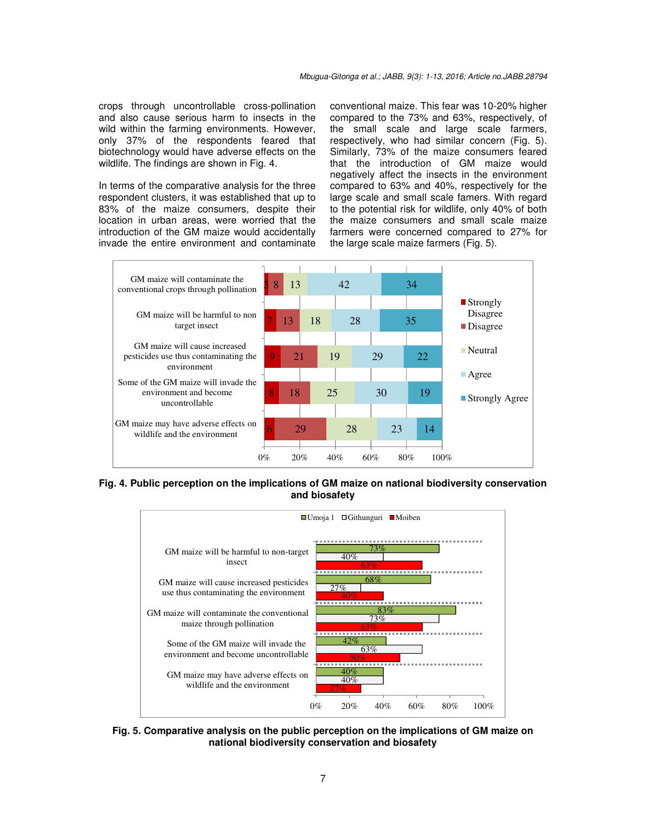crops through uncontrollable cross-pollination and also cause serious harm to insects in the wild within the farming environments. However, only 37% of the respondents feared that biotechnology would have adverse effects on the wildlife. The findings are shown in Fig. 4.

In terms of the comparative analysis for the three respondent clusters, it was established that up to 83% of the maize consumers, despite their location in urban areas, were worried that the introduction of the GM maize would accidentally invade the entire environment and contaminate conventional maize. This fear was 10-20% higher compared to the 73% and 63%, respectively, of the small scale and large scale farmers, respectively, who had similar concern (Fig. 5). Similarly, 73% of the maize consumers feared that the introduction of GM maize would negatively affect the insects in the environment compared to 63% and 40%, respectively for the large scale and small scale famers. With regard to the potential risk for wildlife, only 40% of both the maize consumers and small scale maize farmers were concerned compared to 27% for the large scale maize farmers (Fig. 5).



**Fig. 4. Public perception on the implications of GM maize on national biodiversity conservation and biosafety** 



**Fig. 5. Comparative analysis on the public perception on the implications of GM maize on national biodiversity conservation and biosafety**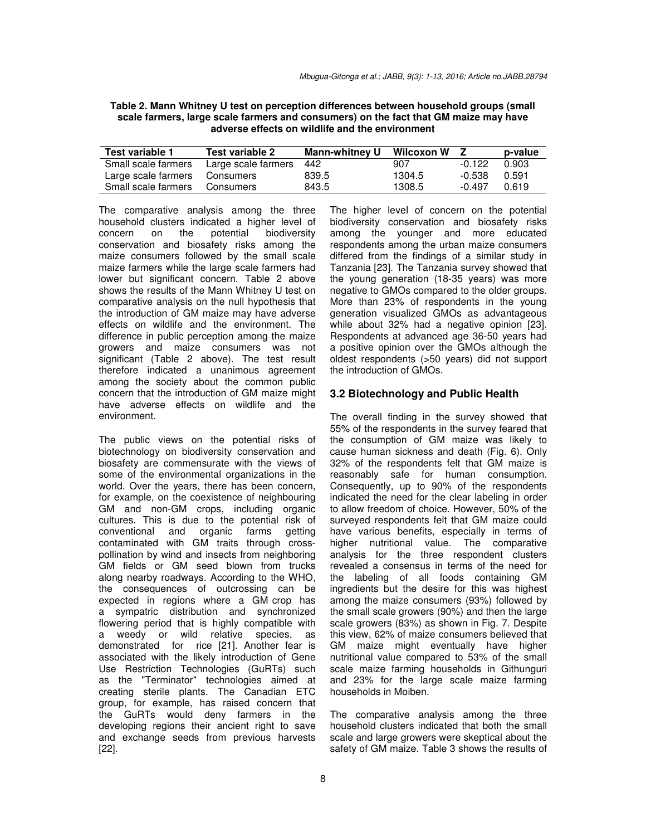| Table 2. Mann Whitney U test on perception differences between household groups (small |
|----------------------------------------------------------------------------------------|
| scale farmers, large scale farmers and consumers) on the fact that GM maize may have   |
| adverse effects on wildlife and the environment                                        |

| Test variable 1     | Test variable 2     | <b>Mann-whitney U</b> | Wilcoxon W |          | p-value |
|---------------------|---------------------|-----------------------|------------|----------|---------|
| Small scale farmers | Large scale farmers | 442                   | 907        | $-0.122$ | 0.903   |
| Large scale farmers | Consumers           | 839.5                 | 1304.5     | $-0.538$ | 0.591   |
| Small scale farmers | Consumers           | 843.5                 | 1308.5     | -0 497   | 0.619   |

The comparative analysis among the three household clusters indicated a higher level of concern on the potential biodiversity conservation and biosafety risks among the maize consumers followed by the small scale maize farmers while the large scale farmers had lower but significant concern. Table 2 above shows the results of the Mann Whitney U test on comparative analysis on the null hypothesis that the introduction of GM maize may have adverse effects on wildlife and the environment. The difference in public perception among the maize growers and maize consumers was not significant (Table 2 above). The test result therefore indicated a unanimous agreement among the society about the common public concern that the introduction of GM maize might have adverse effects on wildlife and the environment.

The public views on the potential risks of biotechnology on biodiversity conservation and biosafety are commensurate with the views of some of the environmental organizations in the world. Over the years, there has been concern, for example, on the coexistence of neighbouring GM and non-GM crops, including organic cultures. This is due to the potential risk of conventional and organic farms getting contaminated with GM traits through crosspollination by wind and insects from neighboring GM fields or GM seed blown from trucks along nearby roadways. According to the WHO, the consequences of outcrossing can be expected in regions where a GM crop has a sympatric distribution and synchronized flowering period that is highly compatible with a weedy or wild relative species, as demonstrated for rice [21]. Another fear is associated with the likely introduction of Gene Use Restriction Technologies (GuRTs) such as the "Terminator" technologies aimed at creating sterile plants. The Canadian ETC group, for example, has raised concern that the GuRTs would deny farmers in the developing regions their ancient right to save and exchange seeds from previous harvests [22].

The higher level of concern on the potential biodiversity conservation and biosafety risks among the younger and more educated respondents among the urban maize consumers differed from the findings of a similar study in Tanzania [23]. The Tanzania survey showed that the young generation (18-35 years) was more negative to GMOs compared to the older groups. More than 23% of respondents in the young generation visualized GMOs as advantageous while about 32% had a negative opinion [23]. Respondents at advanced age 36-50 years had a positive opinion over the GMOs although the oldest respondents (>50 years) did not support the introduction of GMOs.

#### **3.2 Biotechnology and Public Health**

The overall finding in the survey showed that 55% of the respondents in the survey feared that the consumption of GM maize was likely to cause human sickness and death (Fig. 6). Only 32% of the respondents felt that GM maize is reasonably safe for human consumption. Consequently, up to 90% of the respondents indicated the need for the clear labeling in order to allow freedom of choice. However, 50% of the surveyed respondents felt that GM maize could have various benefits, especially in terms of higher nutritional value. The comparative analysis for the three respondent clusters revealed a consensus in terms of the need for the labeling of all foods containing GM ingredients but the desire for this was highest among the maize consumers (93%) followed by the small scale growers (90%) and then the large scale growers (83%) as shown in Fig. 7. Despite this view, 62% of maize consumers believed that GM maize might eventually have higher nutritional value compared to 53% of the small scale maize farming households in Githunguri and 23% for the large scale maize farming households in Moiben.

The comparative analysis among the three household clusters indicated that both the small scale and large growers were skeptical about the safety of GM maize. Table 3 shows the results of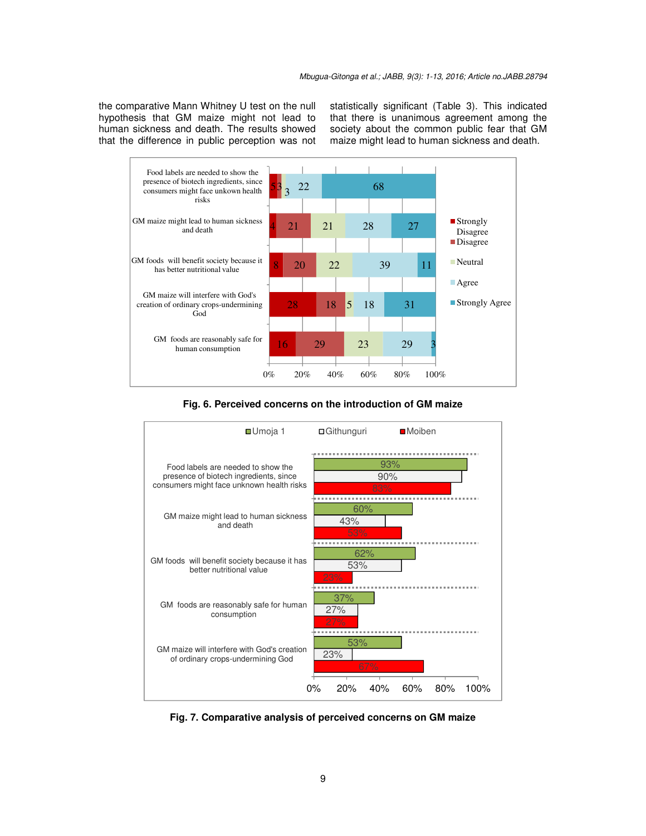the comparative Mann Whitney U test on the null hypothesis that GM maize might not lead to human sickness and death. The results showed that the difference in public perception was not statistically significant (Table 3). This indicated that there is unanimous agreement among the society about the common public fear that GM maize might lead to human sickness and death.



#### **Fig. 6. Perceived concerns on the introduction of GM maize**



**Fig. 7. Comparative analysis of perceived concerns on GM maize**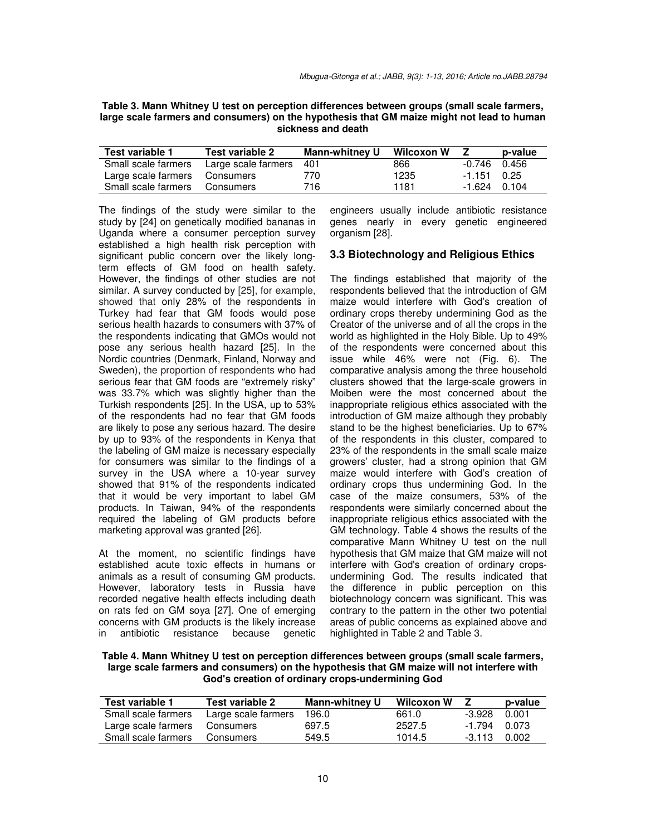| Table 3. Mann Whitney U test on perception differences between groups (small scale farmers, |
|---------------------------------------------------------------------------------------------|
| large scale farmers and consumers) on the hypothesis that GM maize might not lead to human  |
| sickness and death                                                                          |

| Test variable 1     | Test variable 2     | <b>Mann-whitney U</b> | Wilcoxon W |                | p-value |
|---------------------|---------------------|-----------------------|------------|----------------|---------|
| Small scale farmers | Large scale farmers | 401                   | 866        | $-0.746$ 0.456 |         |
| Large scale farmers | Consumers           | 770                   | 1235       | $-1.151$ 0.25  |         |
| Small scale farmers | Consumers           | 716.                  | 1181       | $-1.624$ 0.104 |         |

The findings of the study were similar to the study by [24] on genetically modified bananas in Uganda where a consumer perception survey established a high health risk perception with significant public concern over the likely longterm effects of GM food on health safety. However, the findings of other studies are not similar. A survey conducted by [25], for example, showed that only 28% of the respondents in Turkey had fear that GM foods would pose serious health hazards to consumers with 37% of the respondents indicating that GMOs would not pose any serious health hazard [25]. In the Nordic countries (Denmark, Finland, Norway and Sweden), the proportion of respondents who had serious fear that GM foods are "extremely risky" was 33.7% which was slightly higher than the Turkish respondents [25]. In the USA, up to 53% of the respondents had no fear that GM foods are likely to pose any serious hazard. The desire by up to 93% of the respondents in Kenya that the labeling of GM maize is necessary especially for consumers was similar to the findings of a survey in the USA where a 10-year survey showed that 91% of the respondents indicated that it would be very important to label GM products. In Taiwan, 94% of the respondents required the labeling of GM products before marketing approval was granted [26].

At the moment, no scientific findings have established acute toxic effects in humans or animals as a result of consuming GM products. However, laboratory tests in Russia have recorded negative health effects including death on rats fed on GM soya [27]. One of emerging concerns with GM products is the likely increase in antibiotic resistance because genetic engineers usually include antibiotic resistance genes nearly in every genetic engineered organism [28].

### **3.3 Biotechnology and Religious Ethics**

The findings established that majority of the respondents believed that the introduction of GM maize would interfere with God's creation of ordinary crops thereby undermining God as the Creator of the universe and of all the crops in the world as highlighted in the Holy Bible. Up to 49% of the respondents were concerned about this issue while 46% were not (Fig. 6). The comparative analysis among the three household clusters showed that the large-scale growers in Moiben were the most concerned about the inappropriate religious ethics associated with the introduction of GM maize although they probably stand to be the highest beneficiaries. Up to 67% of the respondents in this cluster, compared to 23% of the respondents in the small scale maize growers' cluster, had a strong opinion that GM maize would interfere with God's creation of ordinary crops thus undermining God. In the case of the maize consumers, 53% of the respondents were similarly concerned about the inappropriate religious ethics associated with the GM technology. Table 4 shows the results of the comparative Mann Whitney U test on the null hypothesis that GM maize that GM maize will not interfere with God's creation of ordinary cropsundermining God. The results indicated that the difference in public perception on this biotechnology concern was significant. This was contrary to the pattern in the other two potential areas of public concerns as explained above and highlighted in Table 2 and Table 3.

**Table 4. Mann Whitney U test on perception differences between groups (small scale farmers, large scale farmers and consumers) on the hypothesis that GM maize will not interfere with God's creation of ordinary crops-undermining God** 

| Test variable 1     | Test variable 2     | <b>Mann-whitney U</b> | Wilcoxon W |          | p-value |
|---------------------|---------------------|-----------------------|------------|----------|---------|
| Small scale farmers | Large scale farmers | 196.0                 | 661.0      | -3.928   | 0.001   |
| Large scale farmers | Consumers           | 697.5                 | 2527.5     | -1.794   | 0.073   |
| Small scale farmers | Consumers           | 549.5                 | 1014.5     | $-3,113$ | 0.002   |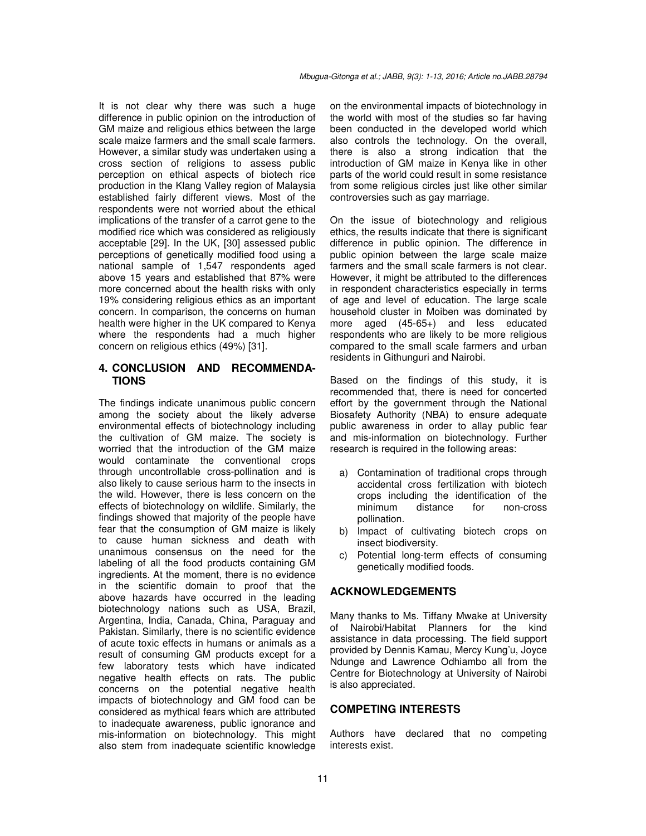It is not clear why there was such a huge difference in public opinion on the introduction of GM maize and religious ethics between the large scale maize farmers and the small scale farmers. However, a similar study was undertaken using a cross section of religions to assess public perception on ethical aspects of biotech rice production in the Klang Valley region of Malaysia established fairly different views. Most of the respondents were not worried about the ethical implications of the transfer of a carrot gene to the modified rice which was considered as religiously acceptable [29]. In the UK, [30] assessed public perceptions of genetically modified food using a national sample of 1,547 respondents aged above 15 years and established that 87% were more concerned about the health risks with only 19% considering religious ethics as an important concern. In comparison, the concerns on human health were higher in the UK compared to Kenya where the respondents had a much higher concern on religious ethics (49%) [31].

## **4. CONCLUSION AND RECOMMENDA-TIONS**

The findings indicate unanimous public concern among the society about the likely adverse environmental effects of biotechnology including the cultivation of GM maize. The society is worried that the introduction of the GM maize would contaminate the conventional crops through uncontrollable cross-pollination and is also likely to cause serious harm to the insects in the wild. However, there is less concern on the effects of biotechnology on wildlife. Similarly, the findings showed that majority of the people have fear that the consumption of GM maize is likely to cause human sickness and death with unanimous consensus on the need for the labeling of all the food products containing GM ingredients. At the moment, there is no evidence in the scientific domain to proof that the above hazards have occurred in the leading biotechnology nations such as USA, Brazil, Argentina, India, Canada, China, Paraguay and Pakistan. Similarly, there is no scientific evidence of acute toxic effects in humans or animals as a result of consuming GM products except for a few laboratory tests which have indicated negative health effects on rats. The public concerns on the potential negative health impacts of biotechnology and GM food can be considered as mythical fears which are attributed to inadequate awareness, public ignorance and mis-information on biotechnology. This might also stem from inadequate scientific knowledge on the environmental impacts of biotechnology in the world with most of the studies so far having been conducted in the developed world which also controls the technology. On the overall, there is also a strong indication that the introduction of GM maize in Kenya like in other parts of the world could result in some resistance from some religious circles just like other similar controversies such as gay marriage.

On the issue of biotechnology and religious ethics, the results indicate that there is significant difference in public opinion. The difference in public opinion between the large scale maize farmers and the small scale farmers is not clear. However, it might be attributed to the differences in respondent characteristics especially in terms of age and level of education. The large scale household cluster in Moiben was dominated by more aged (45-65+) and less educated respondents who are likely to be more religious compared to the small scale farmers and urban residents in Githunguri and Nairobi.

Based on the findings of this study, it is recommended that, there is need for concerted effort by the government through the National Biosafety Authority (NBA) to ensure adequate public awareness in order to allay public fear and mis-information on biotechnology. Further research is required in the following areas:

- a) Contamination of traditional crops through accidental cross fertilization with biotech crops including the identification of the minimum distance for non-cross pollination.
- b) Impact of cultivating biotech crops on insect biodiversity.
- c) Potential long-term effects of consuming genetically modified foods.

# **ACKNOWLEDGEMENTS**

Many thanks to Ms. Tiffany Mwake at University of Nairobi/Habitat Planners for the kind assistance in data processing. The field support provided by Dennis Kamau, Mercy Kung'u, Joyce Ndunge and Lawrence Odhiambo all from the Centre for Biotechnology at University of Nairobi is also appreciated.

## **COMPETING INTERESTS**

Authors have declared that no competing interests exist.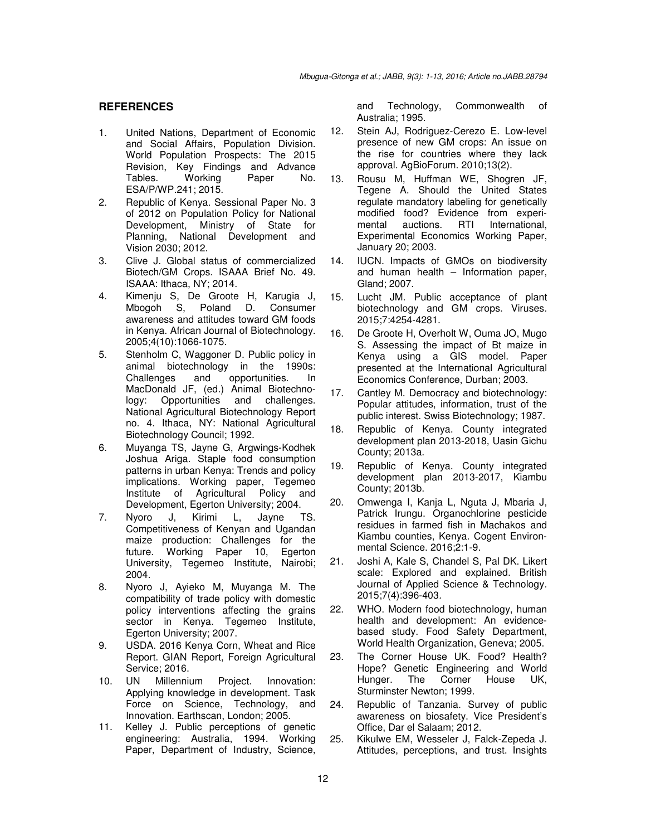### **REFERENCES**

- 1. United Nations, Department of Economic and Social Affairs, Population Division. World Population Prospects: The 2015 Revision, Key Findings and Advance Tables. Working Paper No. ESA/P/WP.241; 2015.
- 2. Republic of Kenya. Sessional Paper No. 3 of 2012 on Population Policy for National Development, Ministry of State for Planning, National Development and Vision 2030; 2012.
- 3. Clive J. Global status of commercialized Biotech/GM Crops. ISAAA Brief No. 49. ISAAA: Ithaca, NY; 2014.
- 4. Kimenju S, De Groote H, Karugia J, Mbogoh S, Poland D. Consumer awareness and attitudes toward GM foods in Kenya. African Journal of Biotechnology. 2005;4(10):1066-1075.
- 5. Stenholm C, Waggoner D. Public policy in animal biotechnology in the 1990s: Challenges and opportunities. In MacDonald JF, (ed.) Animal Biotechnology: Opportunities and challenges. National Agricultural Biotechnology Report no. 4. Ithaca, NY: National Agricultural Biotechnology Council; 1992.
- 6. Muyanga TS, Jayne G, Argwings-Kodhek Joshua Ariga. Staple food consumption patterns in urban Kenya: Trends and policy implications. Working paper, Tegemeo Institute of Agricultural Policy and Development, Egerton University; 2004.
- 7. Nyoro J, Kirimi L, Jayne TS. Competitiveness of Kenyan and Ugandan maize production: Challenges for the future. Working Paper 10, Egerton University, Tegemeo Institute, Nairobi; 2004.
- 8. Nyoro J, Ayieko M, Muyanga M. The compatibility of trade policy with domestic policy interventions affecting the grains sector in Kenya. Tegemeo Institute, Egerton University; 2007.
- 9. USDA. 2016 Kenya Corn, Wheat and Rice Report. GIAN Report, Foreign Agricultural Service; 2016.
- 10. UN Millennium Project. Innovation: Applying knowledge in development. Task Force on Science, Technology, and Innovation. Earthscan, London; 2005.
- 11. Kelley J. Public perceptions of genetic engineering: Australia, 1994. Working Paper, Department of Industry, Science,

and Technology, Commonwealth of Australia; 1995.

- 12. Stein AJ, Rodriguez-Cerezo E. Low-level presence of new GM crops: An issue on the rise for countries where they lack approval. AgBioForum. 2010;13(2).
- 13. Rousu M, Huffman WE, Shogren JF, Tegene A. Should the United States regulate mandatory labeling for genetically modified food? Evidence from experi-<br>mental auctions. RTI International. mental auctions. RTI International, Experimental Economics Working Paper, January 20; 2003.
- 14. IUCN. Impacts of GMOs on biodiversity and human health – Information paper, Gland; 2007.
- 15. Lucht JM. Public acceptance of plant biotechnology and GM crops. Viruses*.*  2015;7:4254-4281.
- 16. De Groote H, Overholt W, Ouma JO, Mugo S. Assessing the impact of Bt maize in Kenya using a GIS model. Paper presented at the International Agricultural Economics Conference, Durban; 2003.
- 17. Cantley M. Democracy and biotechnology: Popular attitudes, information, trust of the public interest. Swiss Biotechnology; 1987.
- 18. Republic of Kenya. County integrated development plan 2013-2018, Uasin Gichu County; 2013a.
- 19. Republic of Kenya. County integrated development plan 2013-2017, Kiambu County; 2013b.
- 20. Omwenga I, Kanja L, Nguta J, Mbaria J, Patrick Irungu. Organochlorine pesticide residues in farmed fish in Machakos and Kiambu counties, Kenya. Cogent Environmental Science. 2016;2:1-9.
- 21. Joshi A, Kale S, Chandel S, Pal DK. Likert scale: Explored and explained. British Journal of Applied Science & Technology*.*  2015;7(4):396-403*.*
- 22. WHO. Modern food biotechnology, human health and development: An evidencebased study. Food Safety Department, World Health Organization, Geneva; 2005.
- 23. The Corner House UK. Food? Health? Hope? Genetic Engineering and World Hunger. The Corner House UK, Sturminster Newton; 1999.
- 24. Republic of Tanzania. Survey of public awareness on biosafety. Vice President's Office, Dar el Salaam; 2012.
- 25. Kikulwe EM, Wesseler J, Falck-Zepeda J. Attitudes, perceptions, and trust. Insights